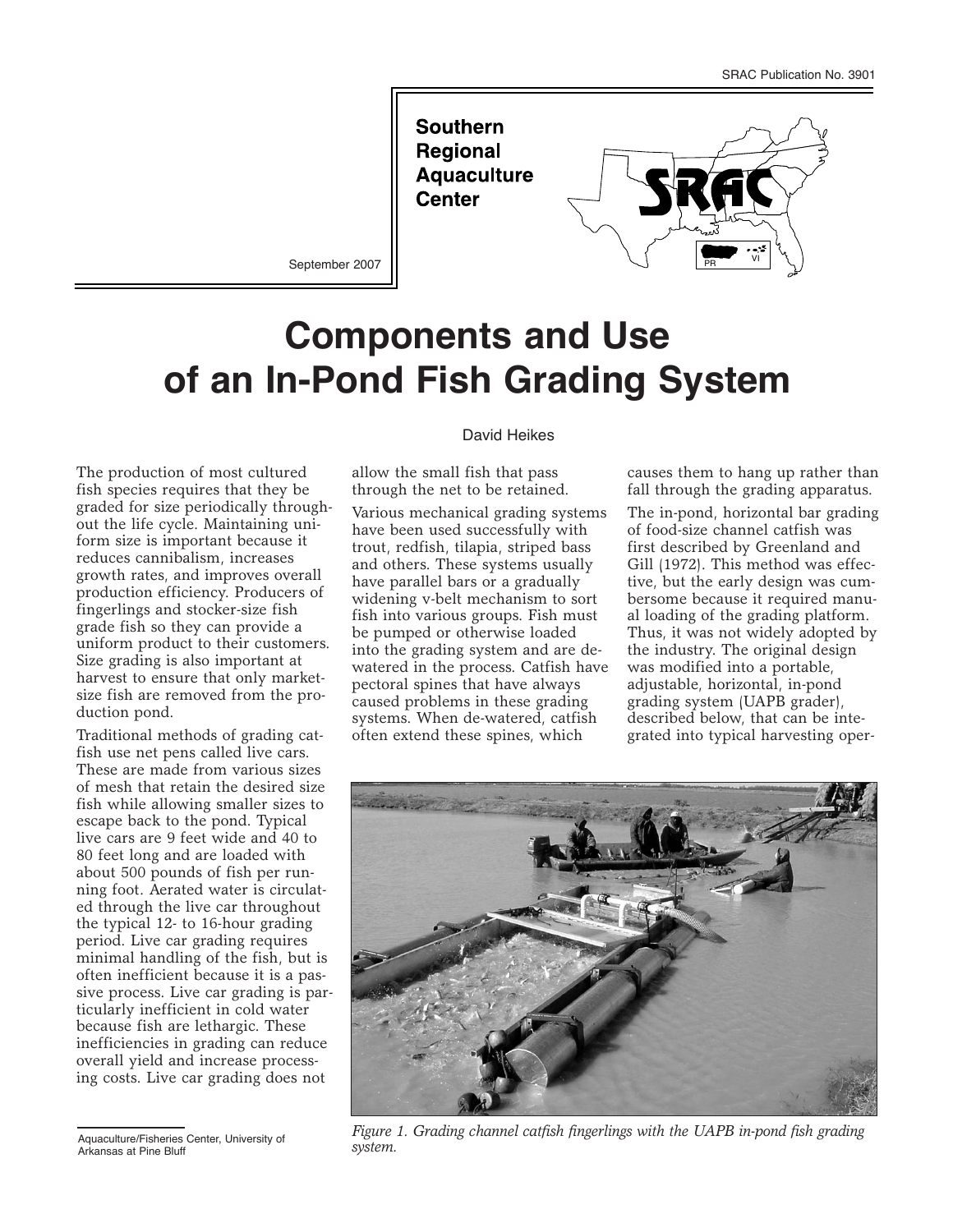**Southern Regional Aquaculture Center** 



September 2007

# **Components and Use of an In-Pond Fish Grading System**

The production of most cultured fish species requires that they be graded for size periodically throughout the life cycle. Maintaining uniform size is important because it reduces cannibalism, increases growth rates, and improves overall production efficiency. Producers of fingerlings and stocker-size fish grade fish so they can provide a uniform product to their customers. Size grading is also important at harvest to ensure that only marketsize fish are removed from the production pond.

Traditional methods of grading catfish use net pens called live cars. These are made from various sizes of mesh that retain the desired size fish while allowing smaller sizes to escape back to the pond. Typical live cars are 9 feet wide and 40 to 80 feet long and are loaded with about 500 pounds of fish per running foot. Aerated water is circulated through the live car throughout the typical 12- to 16-hour grading period. Live car grading requires minimal handling of the fish, but is often inefficient because it is a passive process. Live car grading is particularly inefficient in cold water because fish are lethargic. These inefficiencies in grading can reduce overall yield and increase processing costs. Live car grading does not

#### David Heikes

allow the small fish that pass through the net to be retained.

Various mechanical grading systems have been used successfully with trout, redfish, tilapia, striped bass and others. These systems usually have parallel bars or a gradually widening v-belt mechanism to sort fish into various groups. Fish must be pumped or otherwise loaded into the grading system and are dewatered in the process. Catfish have pectoral spines that have always caused problems in these grading systems. When de-watered, catfish often extend these spines, which

causes them to hang up rather than fall through the grading apparatus.

The in-pond, horizontal bar grading of food-size channel catfish was first described by Greenland and Gill (1972). This method was effective, but the early design was cumbersome because it required manual loading of the grading platform. Thus, it was not widely adopted by the industry. The original design was modified into a portable, adjustable, horizontal, in-pond grading system (UAPB grader), described below, that can be integrated into typical harvesting oper-



*Figure 1. Grading channel catfish fingerlings with the UAPB in-pond fish grading system.*

Aquaculture/Fisheries Center, University of Arkansas at Pine Bluff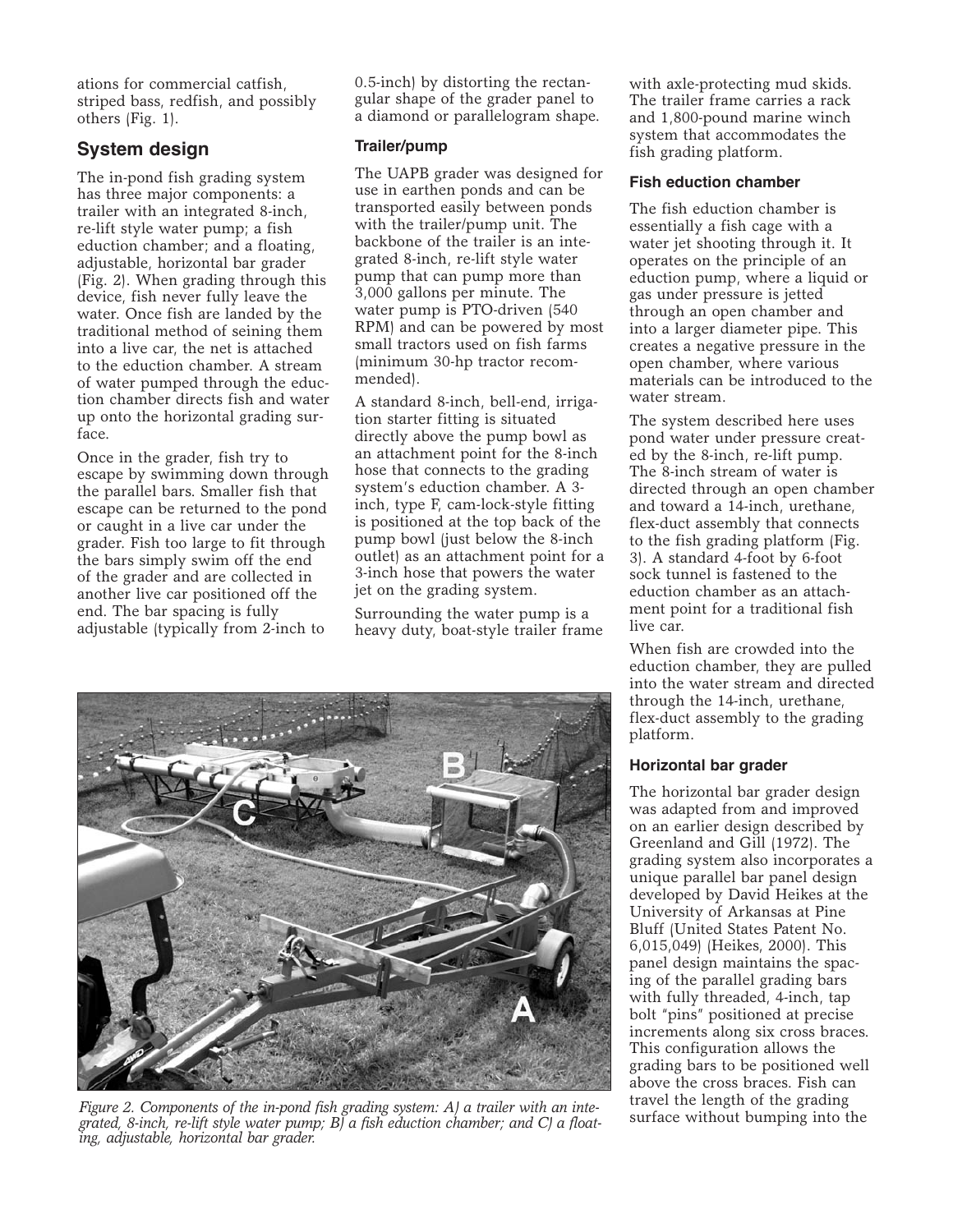ations for commercial catfish, striped bass, redfish, and possibly others (Fig. 1).

# **System design**

The in-pond fish grading system has three major components: a trailer with an integrated 8-inch, re-lift style water pump; a fish eduction chamber; and a floating, adjustable, horizontal bar grader (Fig. 2). When grading through this device, fish never fully leave the water. Once fish are landed by the traditional method of seining them into a live car, the net is attached to the eduction chamber. A stream of water pumped through the eduction chamber directs fish and water up onto the horizontal grading surface.

Once in the grader, fish try to escape by swimming down through the parallel bars. Smaller fish that escape can be returned to the pond or caught in a live car under the grader. Fish too large to fit through the bars simply swim off the end of the grader and are collected in another live car positioned off the end. The bar spacing is fully adjustable (typically from 2-inch to

0.5-inch) by distorting the rectangular shape of the grader panel to a diamond or parallelogram shape.

## **Trailer/pump**

The UAPB grader was designed for use in earthen ponds and can be transported easily between ponds with the trailer/pump unit. The backbone of the trailer is an integrated 8-inch, re-lift style water pump that can pump more than 3,000 gallons per minute. The water pump is PTO-driven (540 RPM) and can be powered by most small tractors used on fish farms (minimum 30-hp tractor recommended).

A standard 8-inch, bell-end, irrigation starter fitting is situated directly above the pump bowl as an attachment point for the 8-inch hose that connects to the grading system's eduction chamber. A 3 inch, type F, cam-lock-style fitting is positioned at the top back of the pump bowl (just below the 8-inch outlet) as an attachment point for a 3-inch hose that powers the water jet on the grading system.

Surrounding the water pump is a heavy duty, boat-style trailer frame



Figure 2. Components of the in-pond fish grading system: A) a trailer with an inte-<br>grated Rinch re-lift style water nump: BLa fish eduction chamber: and CLa float. Surface without bumping into the *grated, 8-inch, re-lift style water pump; B) a fish eduction chamber; and C) a floating, adjustable, horizontal bar grader.*

with axle-protecting mud skids. The trailer frame carries a rack and 1,800-pound marine winch system that accommodates the fish grading platform.

## **Fish eduction chamber**

The fish eduction chamber is essentially a fish cage with a water jet shooting through it. It operates on the principle of an eduction pump, where a liquid or gas under pressure is jetted through an open chamber and into a larger diameter pipe. This creates a negative pressure in the open chamber, where various materials can be introduced to the water stream.

The system described here uses pond water under pressure created by the 8-inch, re-lift pump. The 8-inch stream of water is directed through an open chamber and toward a 14-inch, urethane, flex-duct assembly that connects to the fish grading platform (Fig. 3). A standard 4-foot by 6-foot sock tunnel is fastened to the eduction chamber as an attachment point for a traditional fish live car.

When fish are crowded into the eduction chamber, they are pulled into the water stream and directed through the 14-inch, urethane, flex-duct assembly to the grading platform.

### **Horizontal bar grader**

The horizontal bar grader design was adapted from and improved on an earlier design described by Greenland and Gill (1972). The grading system also incorporates a unique parallel bar panel design developed by David Heikes at the University of Arkansas at Pine Bluff (United States Patent No. 6,015,049) (Heikes, 2000). This panel design maintains the spacing of the parallel grading bars with fully threaded, 4-inch, tap bolt "pins" positioned at precise increments along six cross braces. This configuration allows the grading bars to be positioned well above the cross braces. Fish can travel the length of the grading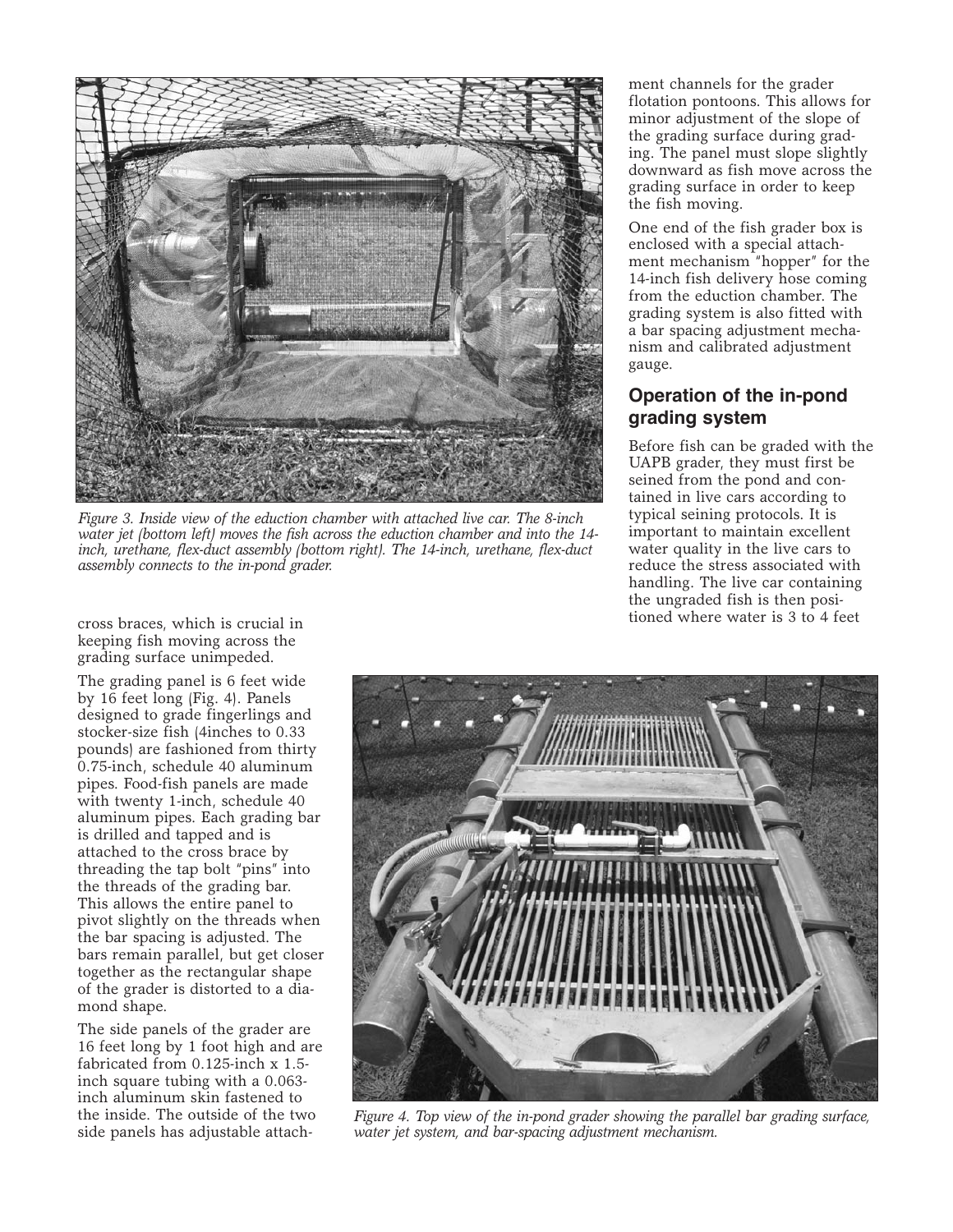

*Figure 3. Inside view of the eduction chamber with attached live car. The 8-inch water jet (bottom left) moves the fish across the eduction chamber and into the 14 inch, urethane, flex-duct assembly (bottom right). The 14-inch, urethane, flex-duct assembly connects to the in-pond grader.*

ment channels for the grader flotation pontoons. This allows for minor adjustment of the slope of the grading surface during grading. The panel must slope slightly downward as fish move across the grading surface in order to keep the fish moving.

One end of the fish grader box is enclosed with a special attachment mechanism "hopper" for the 14-inch fish delivery hose coming from the eduction chamber. The grading system is also fitted with a bar spacing adjustment mechanism and calibrated adjustment gauge.

# **Operation of the in-pond grading system**

Before fish can be graded with the UAPB grader, they must first be seined from the pond and contained in live cars according to typical seining protocols. It is important to maintain excellent water quality in the live cars to reduce the stress associated with handling. The live car containing the ungraded fish is then positioned where water is 3 to 4 feet cross braces, which is crucial in

keeping fish moving across the grading surface unimpeded.

The grading panel is 6 feet wide by 16 feet long (Fig. 4). Panels designed to grade fingerlings and stocker-size fish (4inches to 0.33 pounds) are fashioned from thirty 0.75-inch, schedule 40 aluminum pipes. Food-fish panels are made with twenty 1-inch, schedule 40 aluminum pipes. Each grading bar is drilled and tapped and is attached to the cross brace by threading the tap bolt "pins" into the threads of the grading bar. This allows the entire panel to pivot slightly on the threads when the bar spacing is adjusted. The bars remain parallel, but get closer together as the rectangular shape of the grader is distorted to a diamond shape.

The side panels of the grader are 16 feet long by 1 foot high and are fabricated from 0.125-inch x 1.5 inch square tubing with a 0.063 inch aluminum skin fastened to the inside. The outside of the two side panels has adjustable attach-



*Figure 4. Top view of the in-pond grader showing the parallel bar grading surface, water jet system, and bar-spacing adjustment mechanism.*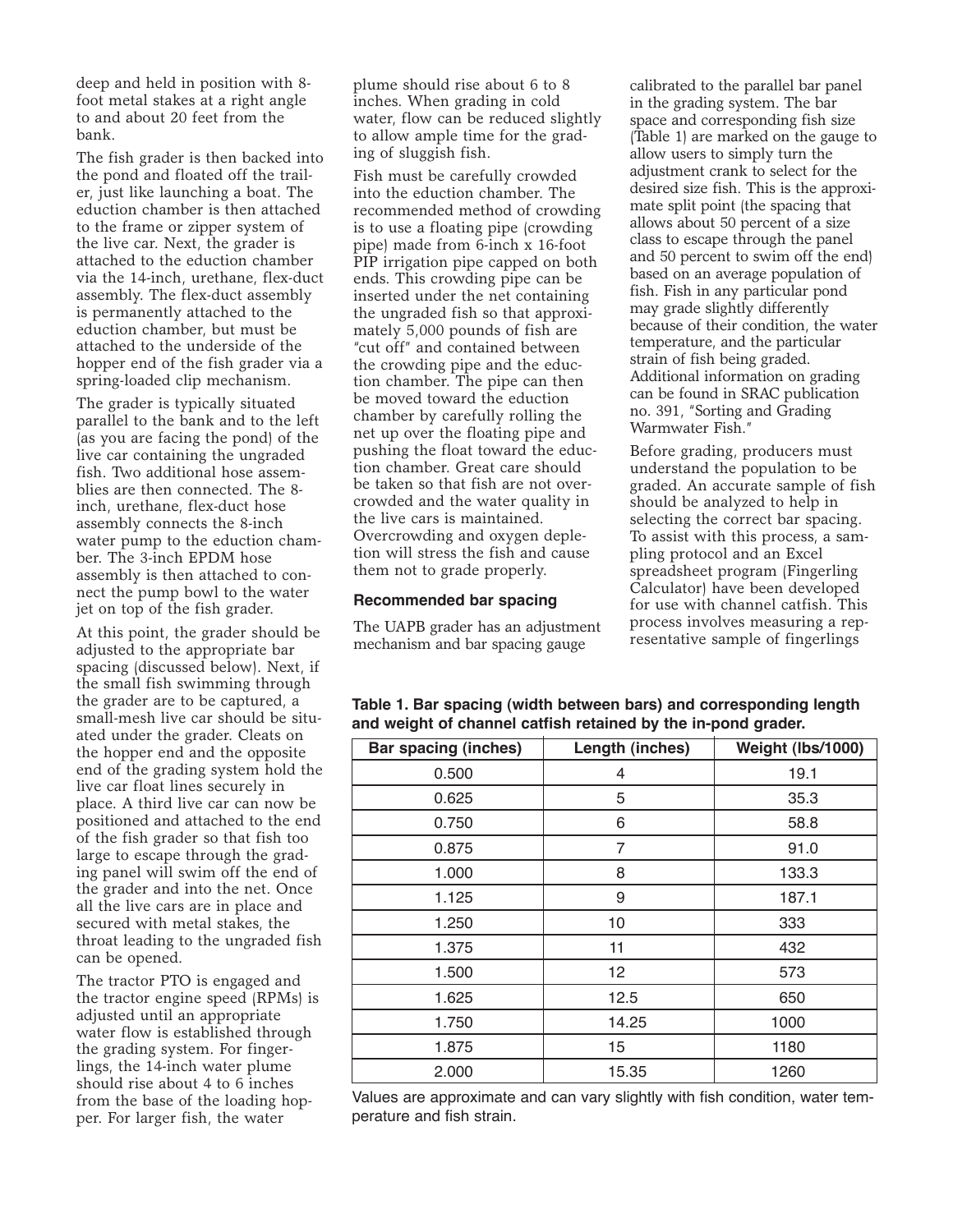deep and held in position with 8 foot metal stakes at a right angle to and about 20 feet from the bank.

The fish grader is then backed into the pond and floated off the trailer, just like launching a boat. The eduction chamber is then attached to the frame or zipper system of the live car. Next, the grader is attached to the eduction chamber via the 14-inch, urethane, flex-duct assembly. The flex-duct assembly is permanently attached to the eduction chamber, but must be attached to the underside of the hopper end of the fish grader via a spring-loaded clip mechanism.

The grader is typically situated parallel to the bank and to the left (as you are facing the pond) of the live car containing the ungraded fish. Two additional hose assemblies are then connected. The 8 inch, urethane, flex-duct hose assembly connects the 8-inch water pump to the eduction chamber. The 3-inch EPDM hose assembly is then attached to connect the pump bowl to the water jet on top of the fish grader.

At this point, the grader should be adjusted to the appropriate bar spacing (discussed below). Next, if the small fish swimming through the grader are to be captured, a small-mesh live car should be situated under the grader. Cleats on the hopper end and the opposite end of the grading system hold the live car float lines securely in place. A third live car can now be positioned and attached to the end of the fish grader so that fish too large to escape through the grading panel will swim off the end of the grader and into the net. Once all the live cars are in place and secured with metal stakes, the throat leading to the ungraded fish can be opened.

The tractor PTO is engaged and the tractor engine speed (RPMs) is adjusted until an appropriate water flow is established through the grading system. For fingerlings, the 14-inch water plume should rise about 4 to 6 inches from the base of the loading hopper. For larger fish, the water

plume should rise about 6 to 8 inches. When grading in cold water, flow can be reduced slightly to allow ample time for the grading of sluggish fish.

Fish must be carefully crowded into the eduction chamber. The recommended method of crowding is to use a floating pipe (crowding pipe) made from 6-inch x 16-foot PIP irrigation pipe capped on both ends. This crowding pipe can be inserted under the net containing the ungraded fish so that approximately 5,000 pounds of fish are "cut off" and contained between the crowding pipe and the eduction chamber. The pipe can then be moved toward the eduction chamber by carefully rolling the net up over the floating pipe and pushing the float toward the eduction chamber. Great care should be taken so that fish are not overcrowded and the water quality in the live cars is maintained. Overcrowding and oxygen depletion will stress the fish and cause them not to grade properly.

#### **Recommended bar spacing**

The UAPB grader has an adjustment mechanism and bar spacing gauge

calibrated to the parallel bar panel in the grading system. The bar space and corresponding fish size (Table 1) are marked on the gauge to allow users to simply turn the adjustment crank to select for the desired size fish. This is the approximate split point (the spacing that allows about 50 percent of a size class to escape through the panel and 50 percent to swim off the end) based on an average population of fish. Fish in any particular pond may grade slightly differently because of their condition, the water temperature, and the particular strain of fish being graded. Additional information on grading can be found in SRAC publication no. 391, "Sorting and Grading Warmwater Fish."

Before grading, producers must understand the population to be graded. An accurate sample of fish should be analyzed to help in selecting the correct bar spacing. To assist with this process, a sampling protocol and an Excel spreadsheet program (Fingerling Calculator) have been developed for use with channel catfish. This process involves measuring a representative sample of fingerlings

| <b>Bar spacing (inches)</b> | Length (inches) | Weight (lbs/1000) |
|-----------------------------|-----------------|-------------------|
| 0.500                       | 4               | 19.1              |
| 0.625                       | 5               | 35.3              |
| 0.750                       | 6               | 58.8              |
| 0.875                       | 7               | 91.0              |
| 1.000                       | 8               | 133.3             |
| 1.125                       | 9               | 187.1             |
| 1.250                       | 10              | 333               |
| 1.375                       | 11              | 432               |
| 1.500                       | 12              | 573               |
| 1.625                       | 12.5            | 650               |
| 1.750                       | 14.25           | 1000              |
| 1.875                       | 15              | 1180              |
| 2.000                       | 15.35           | 1260              |

**Table 1. Bar spacing (width between bars) and corresponding length and weight of channel catfish retained by the in-pond grader.**

Values are approximate and can vary slightly with fish condition, water temperature and fish strain.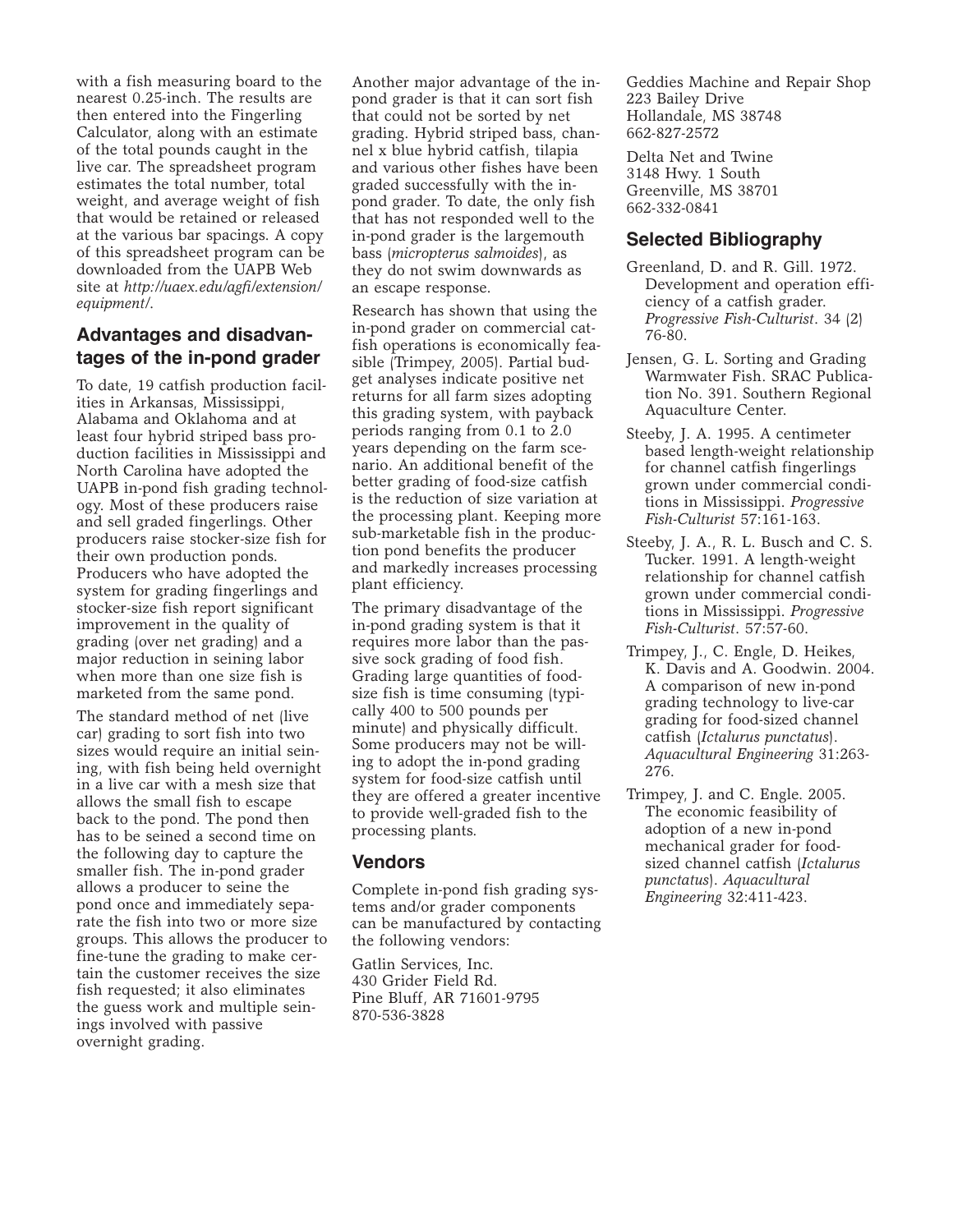with a fish measuring board to the nearest 0.25-inch. The results are then entered into the Fingerling Calculator, along with an estimate of the total pounds caught in the live car. The spreadsheet program estimates the total number, total weight, and average weight of fish that would be retained or released at the various bar spacings. A copy of this spreadsheet program can be downloaded from the UAPB Web site at *http://uaex.edu/agfi/extension/ equipment/*.

# **Advantages and disadvantages of the in-pond grader**

To date, 19 catfish production facilities in Arkansas, Mississippi, Alabama and Oklahoma and at least four hybrid striped bass production facilities in Mississippi and North Carolina have adopted the UAPB in-pond fish grading technology. Most of these producers raise and sell graded fingerlings. Other producers raise stocker-size fish for their own production ponds. Producers who have adopted the system for grading fingerlings and stocker-size fish report significant improvement in the quality of grading (over net grading) and a major reduction in seining labor when more than one size fish is marketed from the same pond.

The standard method of net (live car) grading to sort fish into two sizes would require an initial seining, with fish being held overnight in a live car with a mesh size that allows the small fish to escape back to the pond. The pond then has to be seined a second time on the following day to capture the smaller fish. The in-pond grader allows a producer to seine the pond once and immediately separate the fish into two or more size groups. This allows the producer to fine-tune the grading to make certain the customer receives the size fish requested; it also eliminates the guess work and multiple seinings involved with passive overnight grading.

Another major advantage of the inpond grader is that it can sort fish that could not be sorted by net grading. Hybrid striped bass, channel x blue hybrid catfish, tilapia and various other fishes have been graded successfully with the inpond grader. To date, the only fish that has not responded well to the in-pond grader is the largemouth bass (*micropterus salmoides*), as they do not swim downwards as an escape response.

Research has shown that using the in-pond grader on commercial catfish operations is economically feasible (Trimpey, 2005). Partial budget analyses indicate positive net returns for all farm sizes adopting this grading system, with payback periods ranging from 0.1 to 2.0 years depending on the farm scenario. An additional benefit of the better grading of food-size catfish is the reduction of size variation at the processing plant. Keeping more sub-marketable fish in the production pond benefits the producer and markedly increases processing plant efficiency.

The primary disadvantage of the in-pond grading system is that it requires more labor than the passive sock grading of food fish. Grading large quantities of foodsize fish is time consuming (typically 400 to 500 pounds per minute) and physically difficult. Some producers may not be willing to adopt the in-pond grading system for food-size catfish until they are offered a greater incentive to provide well-graded fish to the processing plants.

### **Vendors**

Complete in-pond fish grading systems and/or grader components can be manufactured by contacting the following vendors:

Gatlin Services, Inc. 430 Grider Field Rd. Pine Bluff, AR 71601-9795 870-536-3828

Geddies Machine and Repair Shop 223 Bailey Drive Hollandale, MS 38748 662-827-2572

Delta Net and Twine 3148 Hwy. 1 South Greenville, MS 38701 662-332-0841

## **Selected Bibliography**

- Greenland, D. and R. Gill. 1972. Development and operation efficiency of a catfish grader. *Progressive Fish-Culturist*. 34 (2) 76-80.
- Jensen, G. L. Sorting and Grading Warmwater Fish. SRAC Publication No. 391. Southern Regional Aquaculture Center.
- Steeby, J. A. 1995. A centimeter based length-weight relationship for channel catfish fingerlings grown under commercial conditions in Mississippi. *Progressive Fish-Culturist* 57:161-163.
- Steeby, J. A., R. L. Busch and C. S. Tucker. 1991. A length-weight relationship for channel catfish grown under commercial conditions in Mississippi. *Progressive Fish-Culturist*. 57:57-60.
- Trimpey, J., C. Engle, D. Heikes, K. Davis and A. Goodwin. 2004. A comparison of new in-pond grading technology to live-car grading for food-sized channel catfish (*Ictalurus punctatus*). *Aquacultural Engineering* 31:263- 276.
- Trimpey, J. and C. Engle. 2005. The economic feasibility of adoption of a new in-pond mechanical grader for foodsized channel catfish (*Ictalurus punctatus*). *Aquacultural Engineering* 32:411-423.